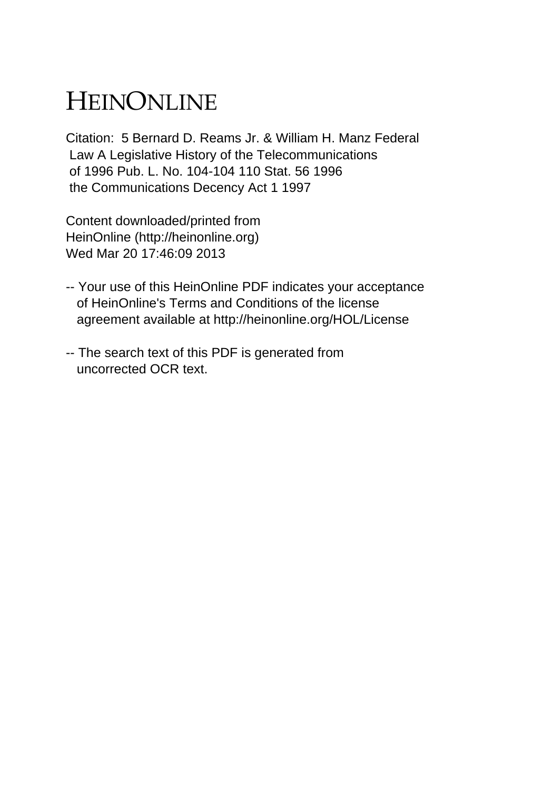## HEINONLINE

Citation: 5 Bernard D. Reams Jr. & William H. Manz Federal Law A Legislative History of the Telecommunications of 1996 Pub. L. No. 104-104 110 Stat. 56 1996 the Communications Decency Act 1 1997

Content downloaded/printed from HeinOnline (http://heinonline.org) Wed Mar 20 17:46:09 2013

- -- Your use of this HeinOnline PDF indicates your acceptance of HeinOnline's Terms and Conditions of the license agreement available at http://heinonline.org/HOL/License
- -- The search text of this PDF is generated from uncorrected OCR text.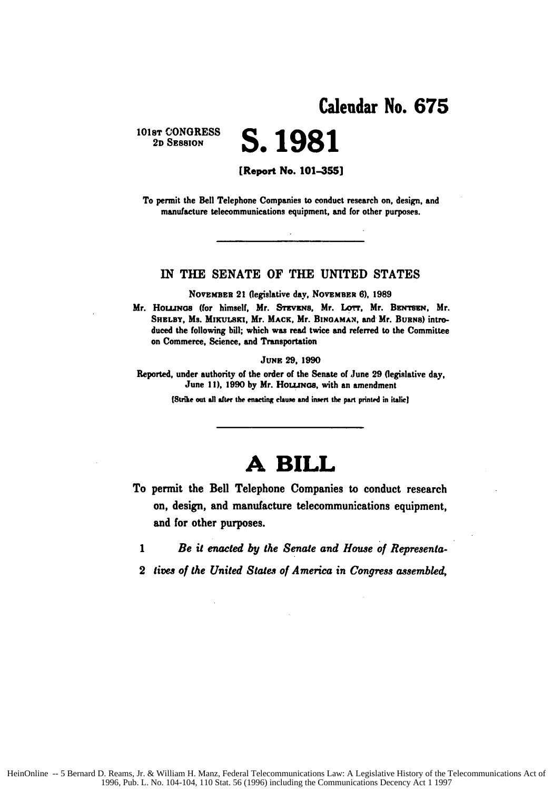# 101s<del>t</del> CONGRESS **S. 1981**

[Report No. **101-355]**

To permit the Bell Telephone Companies to conduct research **on,** design, and manufacture telecommunications equipment, and for other purposes.

### IN THE **SENATE** OF THE **UNITED STATES**

**NOVEMBER 21 (legislative day, NOVEMBER 6), 1989** 

Mr. **HouNcs** (for himself, Mr. **STEvzs,** Mr. **Lorr,** Mr. BzN'sre, Mr. SHELBY, Ms. MIKULSKI, Mr. MACK, Mr. BINGAMAN, and Mr. BURNS) introduced the following **bill;** which was read twice and referred **to** the Committee on Commerce, Science, and Transportation

**JUNE 29, 1990**

Reported, under authority of the order of the Senate of June **29** (legislative day, June 11), 1990 by Mr. Houuncs, with an amendment

**Suike** out **all after the enacting clauxe and insert the** pat printed in italie]

## **A BILL**

To permit the Bell Telephone Companies to conduct research on, design, and manufacture telecommunications equipment, and for other purposes.

*1 Be it enacted by the Senate and House of Representa-*

2 *lives of* the *United States of America in Congress assembled,*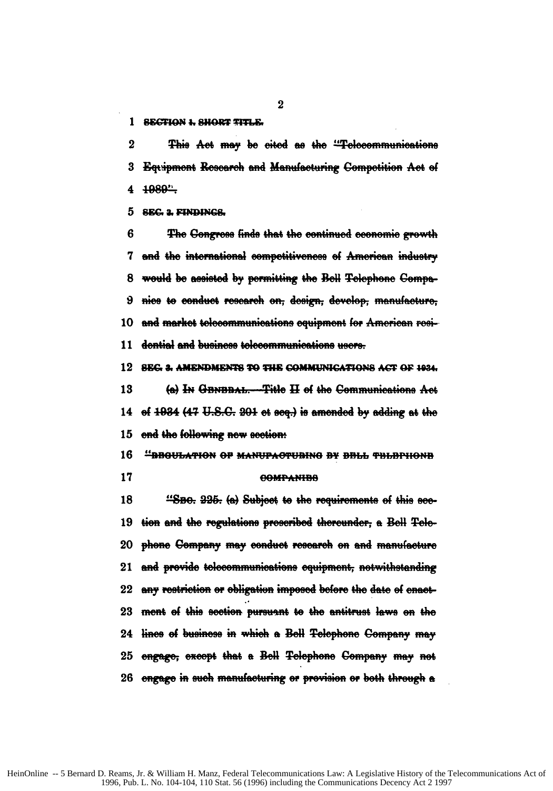1 SECTION 1, SHORT TITLE.

 $\overline{2}$ This Act may be cited as the "Telecommunications 3 Equipment Research and Manufacturing Competition Act of 1989" 4

**SEC. 2. FINDINGS.** 5

R The Gengress finds that the continued economic growth 7 and the international competitiveness of American industry would be assisted by permitting the Bell Telephone Compa-8 nice to conduct research on, design, develop, manufacture, 9 10 and market telecommunications equipment for American resi-11 dential and business telecommunications users.

SEG. 3. AMENDMENTS TO THE COMMUNICATIONS ACT OF 1934. 12

13 (a) In GENEBAL. Title H of the Communications Act of 1934 (47 U.S.C. 201 et seq.) is amended by adding at the 14 end the following new section: 15

16 "BBGULATION OF MANUPACTUBING BY BBLL THLBPHONB

17

### **GOMPANIBA**

18 "SBO. 225. (a) Subject to the requirements of this sec-19 tion and the regulations prescribed thereunder, a Bell Telephone Company may conduct research on and manufacture 20 21 and provide telecommunications equipment, notwithstanding any restriction or obligation imposed before the date of enact- $22\,$ ment of this section pursuant to the antitrust laws on the 23 24 lines of business in which a Bell Telephone Company may engage, except that a Bell Telephone Company may not 25 26 engage in such manufacturing or provision or both through a

 $\overline{2}$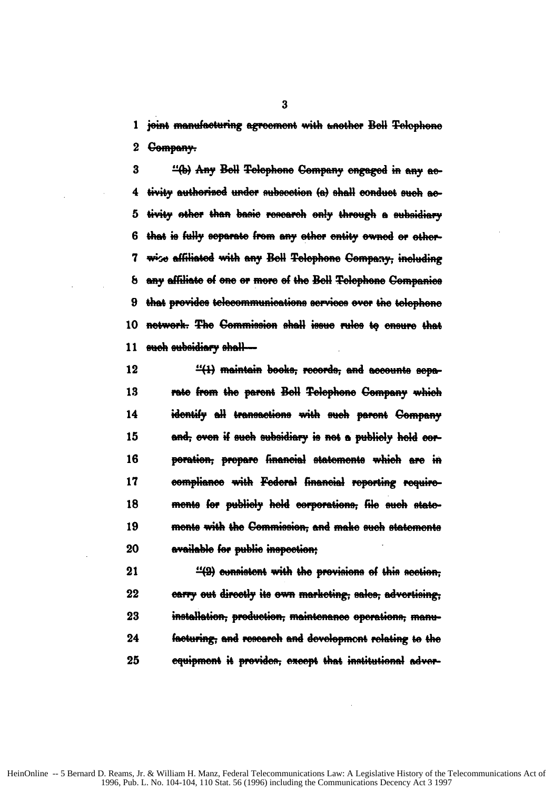1 joint manufacturing agreement with another Bell Telephone 2 <del>Company.</del>

3 "(b) Any Bell Telephone Company engaged in any aetivity authorized under subsection (a) shall conduct such ac-4 5 tivity other than basic research only through a subsidiary that is fully separate from any other entity ewned or other-6 7 wise affiliated with any Bell Telephone Company, including 8 any affiliate of one or more of the Bell Telephone Companies 9 that provides telecommunications services over the telephone 10 network. The Commission shall issue rules to ensure that <del>such subsidiary shall—</del> 11

12  $\frac{11}{11}$  maintain booke, records, and accounts sepa-13 rate from the parent Bell Telephone Company which identify all transactions with such parent Company 14 15 and, even if such subsidiary is not a publicly hold corporation, propare financial statements which are in 16 17 compliance with Federal financial reporting requirements for publicly held corporations, file such state-18 19 mente with the Commission, and make such statements available for public inspection: 20

21  $\frac{14}{2}$  consistent with the previsions of this section. earry out directly its own marketing; sales, advertising; 22 23 installation, production, maintenance operations, manu-24 facturing; and research and development relating to the 25 equipment it provides; except that institutional adver-

 $\bf{3}$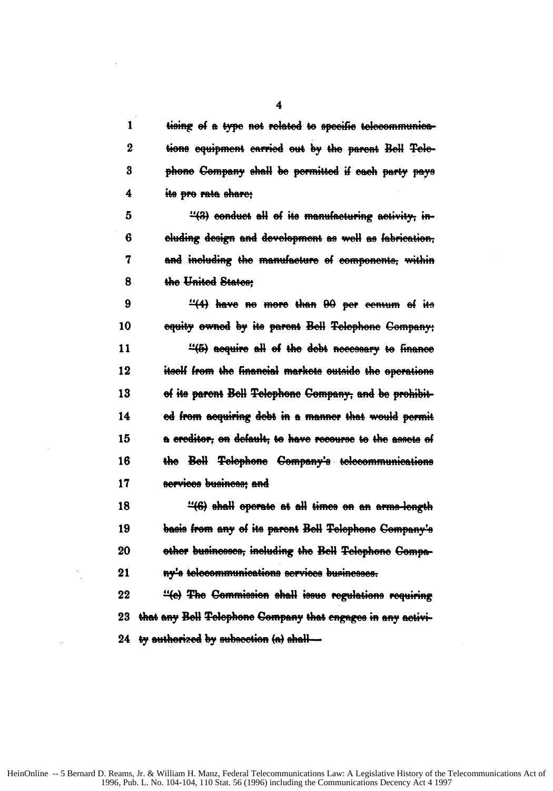| 1        | tising of a type not related to specific telecommunica-     |
|----------|-------------------------------------------------------------|
| $\bf{2}$ | tions equipment carried out by the parent Bell Tele-        |
| 3        | phone Company shall be permitted if each party pays         |
| 4        | its pro rata share:                                         |
| 5        | "(3) conduct all of its manufacturing activity, in-         |
| 6        | cluding design and development as well as fabrication,      |
| 7        | and including the manufacture of components, within         |
| 8        | the United States:                                          |
| 9        | "(4) have no more than 90 per centum of its                 |
| 10       | equity owned by its parent Bell Telephone Company;          |
| 11       | "(5) acquire all of the debt necessary to finance           |
| 12       | itself from the financial markets outside the operations    |
| 13       | of its parent Bell Telephone Company, and be prohibit-      |
| 14       | ed from acquiring debt in a manner that would permit        |
| 15       | a creditor, on default, to have recourse to the assets of   |
| 16       | the Bell Telephone Company's telecommunications             |
| 17       | services business: and                                      |
| 18       | "(6) shall operate at all times on an arms-longth           |
| 19       | basis from any of its parent Bell Telephone Company's       |
| 20       | other businesses, including the Bell Telephone Compa-       |
| 21       | ny's telecommunications services businesses.                |
| 22       | "(e) The Commission shall issue regulations requiring       |
| 23       | that any Bell Telephone Company that engages in any activi- |
| 24       | ty authorized by subsection (a) shall-                      |

 $\overline{\mathbf{4}}$ 

 $\bar{\mathcal{L}}$ 

 $\sim$ 

 $\bar{z}$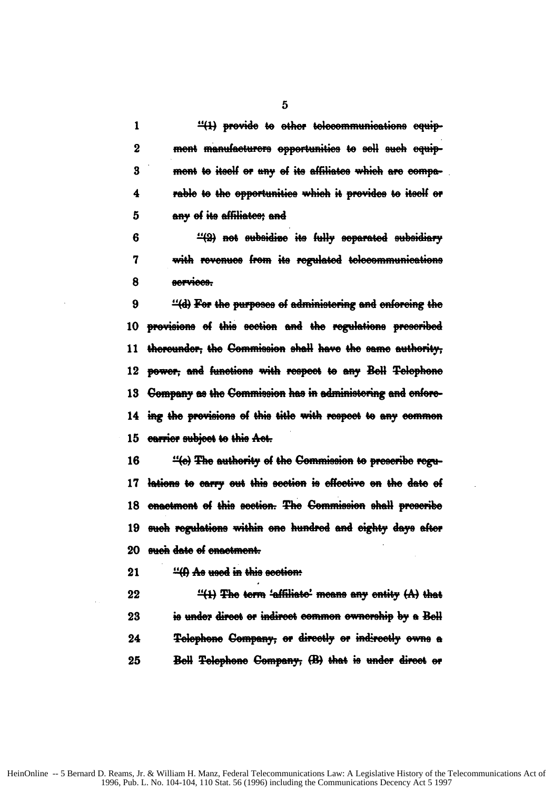| $\mathbf{1}$     | "(1) provide to other telecommunications equip-               |
|------------------|---------------------------------------------------------------|
| $\boldsymbol{2}$ | ment manufacturers opportunities to sell such equip-          |
| 3                | ment to itself or any of its affiliates which are compa-      |
| 4                | rable to the opportunities which it provides to itself or     |
| 5                | any of its affiliates; and                                    |
| 6                | "(2) not subsidize its fully separated subsidiary             |
| 7                | with revenues from its regulated telecommunications           |
| 8                | services.                                                     |
| 9                | "(d) For the purposes of administering and enforcing the      |
|                  | 10 provisions of this section and the regulations prescribed  |
|                  | 11 thereunder; the Commission shall have the same authority;  |
|                  | 12 power, and functions with respect to any Bell Telephone    |
|                  | 13 Company as the Commission has in administering and enfore- |

14 ing the provisions of this title with respect to any common 15 carrier subject to this Act.

"(e) The authority of the Commission to prescribe regu-16 lations to carry out this section is effective on the date of  $17$ 18 enactment of this section. The Commission shall prescribe such regulations within one hundred and eighty days after 19 such date of enactment. 20

"(f) Ae used in this section:  $21$ 

22  $\frac{11}{11}$  The term 'affiliate' means any entity  $(A)$  that is under direct or indirect common ownership by a Bell 23 Telephone Company, or directly or indirectly owns a 24 25 Bell Telephone Company, (B) that is under direct or

 $\overline{5}$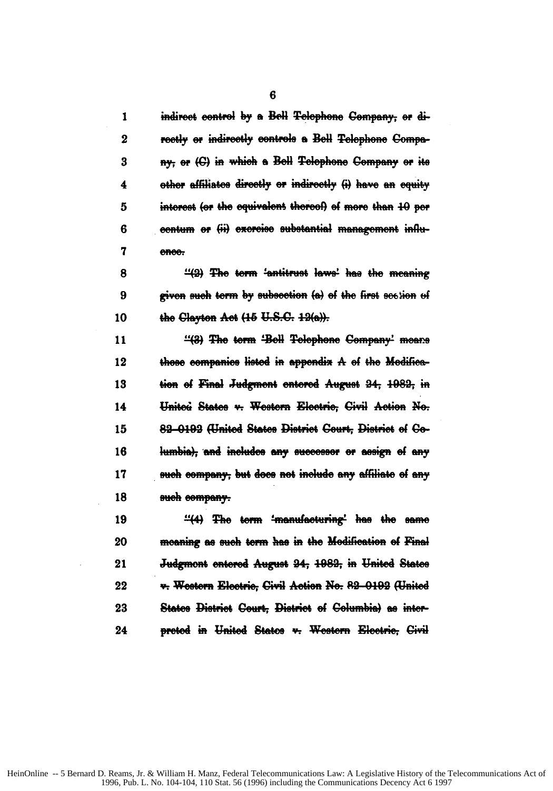| 1           | indirect control by a Bell Telephone Company, or di-       |
|-------------|------------------------------------------------------------|
| $\mathbf 2$ | reetly or indirectly controls a Bell Telephone Compa-      |
| 3           | ny, or (C) in which a Bell Telephone Company or its        |
| 4           | other affiliates directly or indirectly (i) have an equity |
| 5           | interest (or the equivalent thereof) of more than 10 per   |
| 6           | contum or (ii) excreise substantial management influ-      |
| 7           | ence.                                                      |
| 8           | "(2) The term 'antitrust laws' has the meaning             |
| 9           | given such term by subsection (a) of the first section of  |
| 10          | the Clayton Act (15 U.S.C. 12(a)).                         |
| 11          | "(3) The term 'Bell Telephone Company' means               |
| 12          | those companies listed in appendix A of the Medifica-      |
| 13          | tion of Final Judgment entered August 24, 1982, in         |
| 14          | Unitoù States v. Western Electric, Civil Action No.        |
| 15          | 82-0192 (United States District Court, District of Co-     |
| 16          | lumbia), and includes any successor or assign of any       |
|             |                                                            |

17 such company; but does not include any affiliate of any 18 such company.

"(4) The term 'manufacturing' has the same 19 20 moaning as such term has in the Modification of Final 21 Judgmont entered August 24, 1982, in United States v. Western Electric, Civil Action No. 82-0192 (United 22 23 States District Court, District of Columbia) as inter-24 protod in United States v. Western Electric, Civil

 $6\phantom{1}$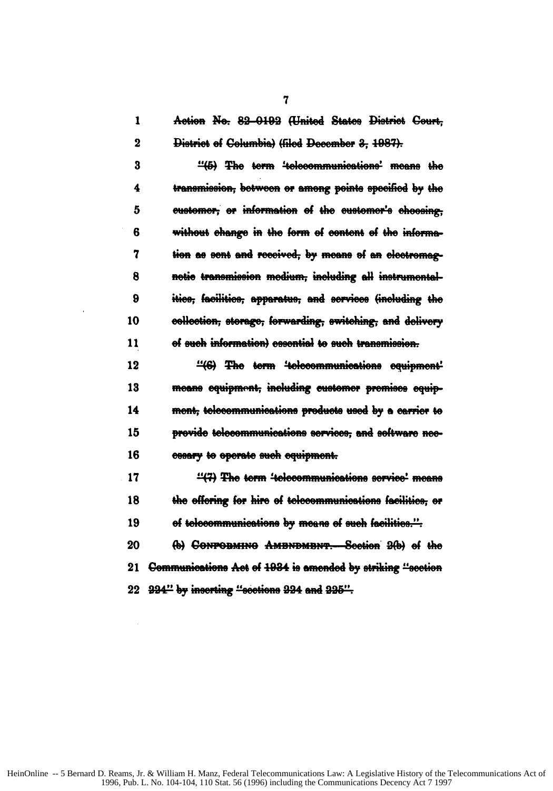$\mathbf{1}$ Action No. 82-0192 (United States District Court.  $\overline{2}$ District of Columbia) (filed December 3, 1987).

"(5) The term 'telecommunications' means the 3 transmission, between or among points specified by the 4 5 eustomer, or information of the eustomer's choosing, 6 without change in the form of content of the information as sent and received, by means of an electromag-7 notic transmission modium, including all instrumental-8 9 itice, facilitice, apparatue, and services (including the 10 collection, storage, forwarding, switching, and dolivery of such information) essential to such transmission. 11

12 "(6) The term 'telecommunications equipment' 13 means equipment, including customer premises equip-14 ment, telecommunications products used by a carrier to 15 provide telecommunications services, and software nec-16 essary to operate such equipment.

17 "(7) The term 'telecommunications service' means the effering for hire of telecommunications facilities, or 18 of telecommunications by means of such facilities.". 19

20 (b) CONPORMING AMBNDMBNT. Scotion 2(b) of the 21 Communications Act of 1934 is amended by striking "section 22 994" by inserting "sections 994 and 995".

 $\overline{7}$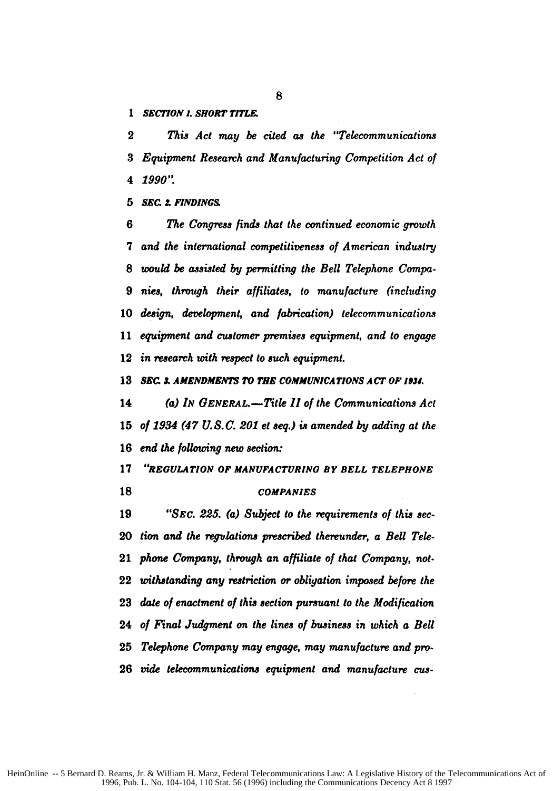*1 SEC77ON 1. SHORT TITL&*

*This Act may be cited as the "Telecommunications Equipment Research and Manufacturing Competition Act of 1990".*

*SEC* **2.** *FINDINGS*

*The Congress finds that the continued economic growth and the international competitiveness of American industry would be assisted by permitting the Bell Telephone Compa-nies, through their affiliates, to manufacture (including design, development, and fabrication) telecommunications equipment and customer premises equipment, and to engage in research with respect to such equipment.*

**SEC** *I AMENDMENTS TO* **THE** *COMMUNICATIONS* **A** *CT* **OF 1934.**

*(a) IN GENERAL.-Title* **11** *of the Communications Act of 1934 (47 U.S.C. 201 et seq.) is amended by adding at the end the following new section:*

*"REGULATION OF MANUFACTURING BY BELL TELEPHONE*

### *COMPANIES*

*"SEC. 225. (a) Subject to the requirements of this sec-tion* **and** *the regulations prescribed thereunder, a Bell Tele-phone Company, through an affiliate of that Company, not-withstanding any restriction or obligation imposed before the date of enactment of this section pursuant to the Modification of Final Judgment on the lines of business in which a Bell Telephone Company may engage, may manufacture and pro. vide telecommunications equipment and manufacture cus-*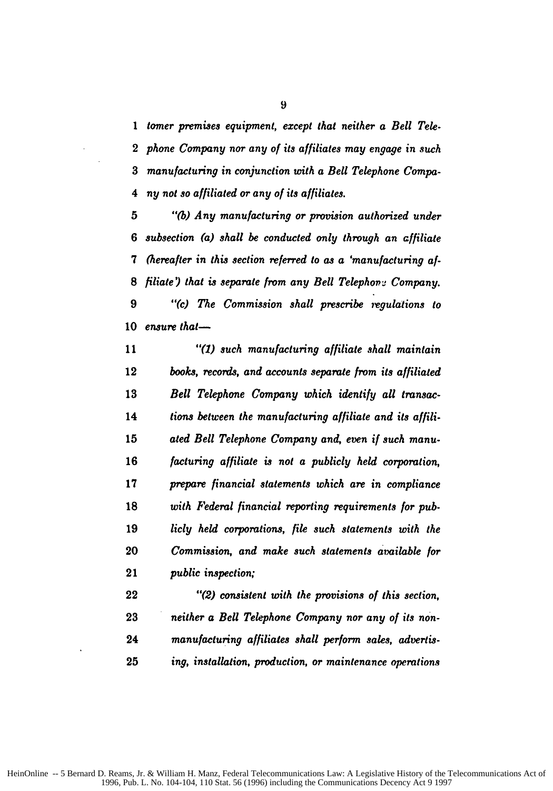*tomer premises equipment, except that neither a Bell Tele. phone Company nor any of its affiliates may engage in such manufacturing in conjunction with a Bell Telephone Compa-4 ny not so affiliated or any of its affiliates.*

*"(b) Any manufacturing or provision authorized under subsection (a) shall be conducted only through an affiliate 7 (hereafter in this section referred to as a 'manufacturing af-filiate ) that is separate from any Bell Telephon:e Company. "(c) The Commission shall prescribe rgulations to* 10 ensure that-

*"(1) such manufacturing affiliate shall maintain books, records, and accounts separate from its affiliated Bell Telephone Company which identify all transac-tions between the manufacturing affiliate and its affili. ated Bell Telephone Company and, even if such manu-facturing affiliate is not a publicly held corporation, prepare financial statements which are in compliance with Federal financial reporting requirements for pub-licly held corporations, file such statements with the Commission, and make such statements available for public inspection;*

*"(2) consistent with the provisions of this section, neither a Bell Telephone Company nor any of its non-manufacturing affiliates shall perform sales, advertis-ing, installation, production, or maintenance operations*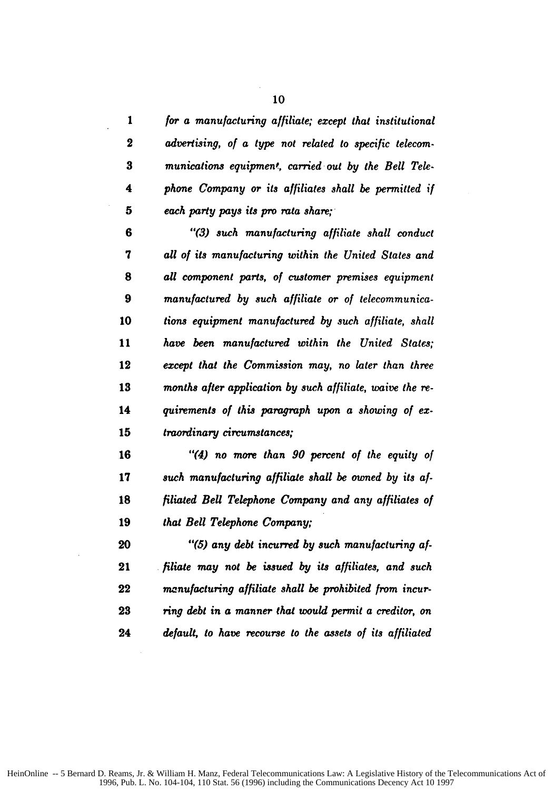| 1                | for a manufacturing affiliate; except that institutional  |
|------------------|-----------------------------------------------------------|
| $\boldsymbol{2}$ | advertising, of a type not related to specific telecom-   |
| 3                | munications equipment, carried out by the Bell Tele-      |
| 4                | phone Company or its affiliates shall be permitted if     |
| 5                | each party pays its pro rata share;                       |
| 6                | "(3) such manufacturing affiliate shall conduct           |
| 7                | all of its manufacturing within the United States and     |
| 8                | all component parts, of customer premises equipment       |
| 9                | manufactured by such affiliate or of telecommunica-       |
| 10               | tions equipment manufactured by such affiliate, shall     |
| 11               | have been manufactured within the United States;          |
| 12               | except that the Commission may, no later than three       |
| 13               | months after application by such affiliate, waive the re- |
| 14               | quirements of this paragraph upon a showing of ex-        |
| 15               | traordinary circumstances;                                |
| 16               | "(4) no more than 90 percent of the equity of             |
| 17               | such manufacturing affiliate shall be owned by its af-    |
| 18               | filiated Bell Telephone Company and any affiliates of     |
| 19               | that Bell Telephone Company;                              |
| 20               | "(5) any debt incurred by such manufacturing af-          |
| 21               | filiate may not be issued by its affiliates, and such     |
| 22               | manufacturing affiliate shall be prohibited from incur-   |

*ring debt in a manner that would permit a creditor, on default, to have recourse to the assets of its affiliated*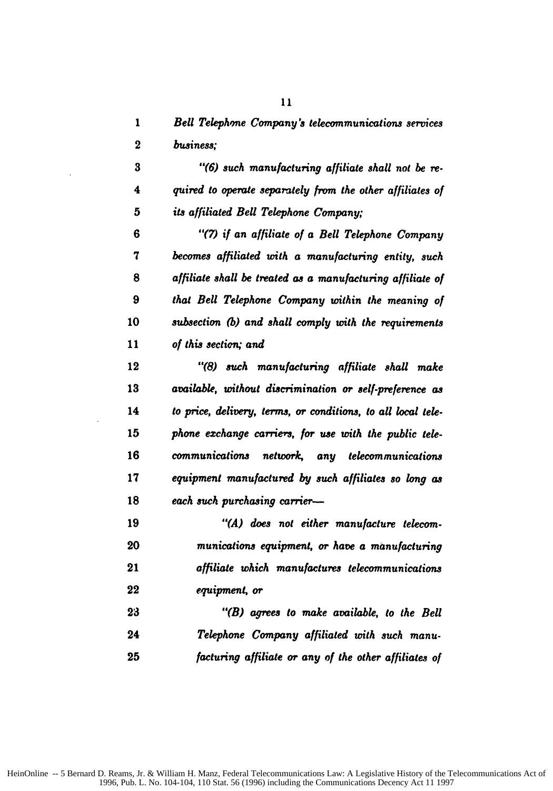*1 Bell Telephone Company's telecommunications services business;*

*"(6) such manufacturing affiliate shall not be re-4 quired to operate separately from* the *other affiliates of its affiliated Bell Telephone Company;*

*6 "(7) if an affiliate of a Bell Telephone Company becomes affiliated with a manufacturing entity, such affiliate shall be treated as a manufacturing affiliate of that Bell Telephone Company within the meaning of subsection (b) and shall comply with the requirements of this section; and*

*"(8) such manufacturing affiliate shall make available, without discrimination or self-preference as to price, delivery, terms, or conditions, to all local tele-phone exchange carrie's, for use with the public tele-communications network, any telecommunications equipment manufactured by such affiliates so long as each such purchasing carrier-*

*"(A) does not either manufacture telecom-munications equipment, or have a manufacturing affiliate which manufactures telecommunications equipment, or*

*"(B) agrees to make available, to the Bell Telephone Company affiliated with such manu-facturing affiliate or any of the other affiliates of*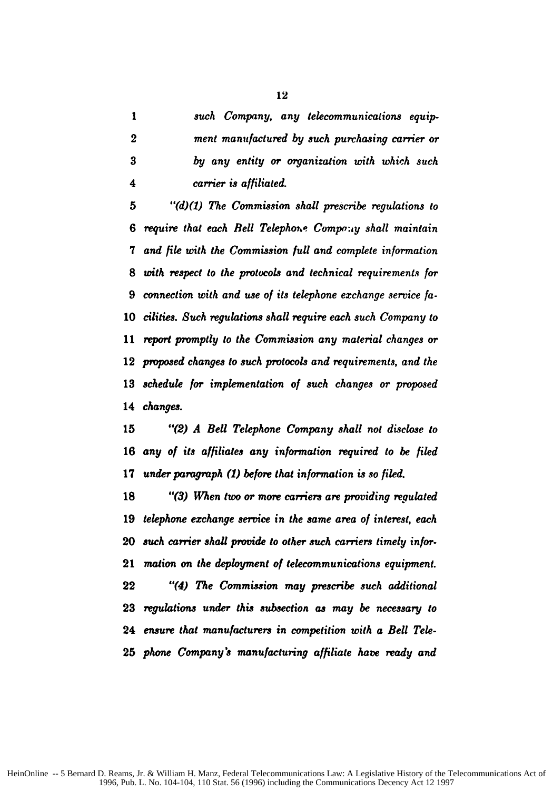*such Company, any telecommunications equip-ment manufactured by such purchasing carrier or by any entity or organization with which such 4 carrier is affiliated.*

*"(d)(1) The Commission shall prescribe regulations to require that each Bell Telephoue Compo.y shall maintain and file with the Commission full and complete information with respect to the protocols and technical requirements for connection with and use of its telephone exchange service fa-cilities. Such regulations shall require each such Company to report promptly to the Commission any material changes or proposed changes to such protocols and requirements, and the schedule for implementation of* such *changes or proposed changes.*

*"(2) A Bell Telephone* Company *shall not disclose to any of its affiliates any information required to be filed under paragraph (1) before that information is so filed.*

*"(3) When two or more carriers are providing regulated telephone exchange service in the same area of interest, each such carrier shall provide to other such carriers timely infor. mation on the deployment of telecommunications equipment. "(4) The Commission may prescribe such additional regulations under this subsection as may be necessary to ensure that manufacturers in competition with a Bell Tele-phone Company's manufacturing affiliate have ready and*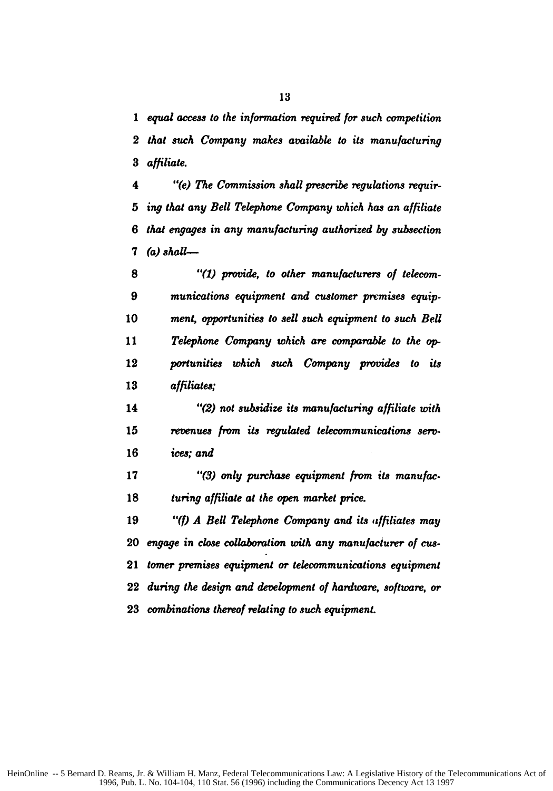*equal access to the information required for such competition that such Company makes available to its manufacturing affiliate.*

*4 "(e) The Commission shall prescribe regulations requir-ing that any Bell Telephone Company which has an affiliate that engages in any manufacturing authorized by subsection (a) shall--*

*"(1) provide, to other manufacturers of telecom-munications equipment and customer premises equip-ment, opportunities to sell such equipment to such Bell Telephone Company which are comparable to the op-portunities which such Company provides to its affiliates;*

*"(2) not subsidize its manufacturing affiliate with revenues from its regulated telecommunications sero-ices; and*

*"(3) only purchase equipment from its manufac-turing affiliate at the open market price.*

*"(f) A Bell Telephone Company and its affiliates may engage in close collaboration with any manufacturer of cUa-tomer premises equipment or telecommunications equipment during the design and development of hardware, software, or combinations thereof relating to such equipment.*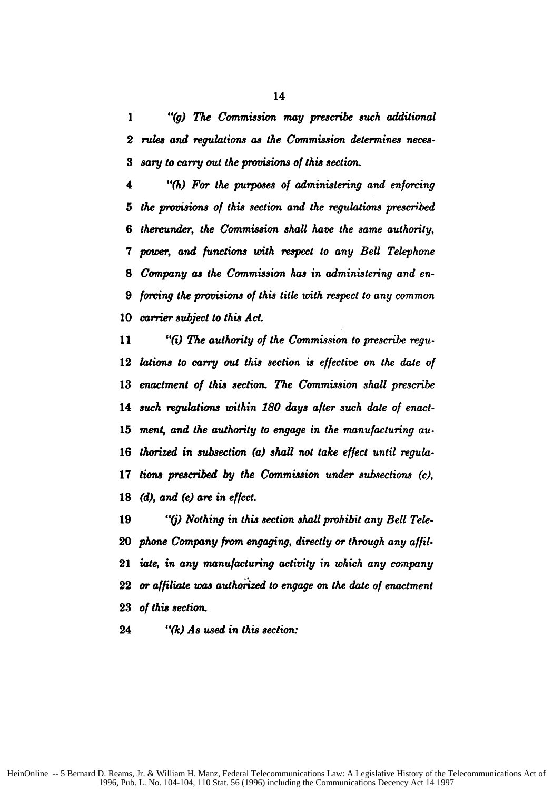"(g) *The Commission may prescribe such additional rues and regulations as the Commission determines neces-sary to carry out* the *provisions of this* section.

*"(h) For the purposes of administering and enforcing the provisions of this section and the regulations prescribed thereunder, the Commission shall have the same authority, power, and functions with respect to any Bell Telephone Company as the Commission has in administering and en-forcing the provisions of this title with respect to any common carrier subject to this Act.*

*"(i) The authority of the Commission to prescribe regu-lations to carry out this section is effective on the date of enactment of this section. The Commission shall prescribe such regulations within 180 days after such date of enact-ment, and the authority to engage in the manufacturing au-thorized in subsection (a) shall not take effect until regula-tions prescribed by the Commission under subsections (c), (d), and (e) are in effect.*

*"() Nothing in this section shall prohibit any Bell Tele-phone Company from engaging, directly or through any affil-iate, in any manufacturing activity in which any company* or *affiliate was authorized to engage on the date of enactment of this section.*

*"(k) As used in this section:*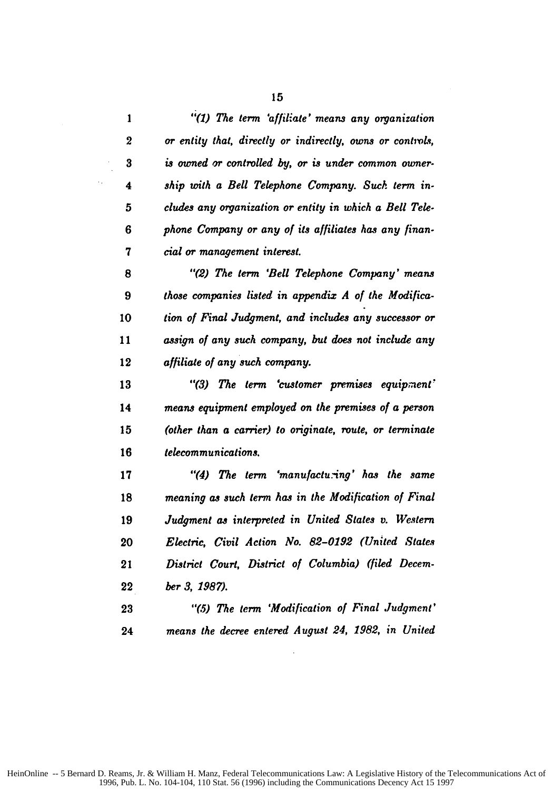| I      |
|--------|
| ٦<br>I |

 $\frac{1}{2}$ 

| 1                | "(1) The term 'affiliate' means any organization          |
|------------------|-----------------------------------------------------------|
| $\boldsymbol{2}$ | or entity that, directly or indirectly, owns or controls, |
| $\bf{3}$         | is owned or controlled by, or is under common owner-      |
| 4                | ship with a Bell Telephone Company. Such term in-         |
| 5                | cludes any organization or entity in which a Bell Tele-   |
| 6                | phone Company or any of its affiliates has any finan-     |
| 7                | cial or management interest.                              |
| 8                | "(2) The term 'Bell Telephone Company' means              |
| 9                | those companies listed in appendix A of the Modifica-     |
| 10               | tion of Final Judgment, and includes any successor or     |
| 11               | assign of any such company, but does not include any      |
| 12               | affiliate of any such company.                            |
| 13               | "(3) The term 'customer premises equipment'               |
| 14               | means equipment employed on the premises of a person      |
| 15               | (other than a carrier) to originate, route, or terminate  |
| 16               | telecommunications.                                       |
| 17               | "(4) The term 'manufacturing' has the same                |
| 18               | meaning as such term has in the Modification of Final     |
| 19               | Judgment as interpreted in United States v. Western       |
| 20               | Electric, Civil Action No. 82-0192 (United States         |
| 21               | District Court, District of Columbia) (filed Decem-       |
| 22               | ber 3, 1987).                                             |
| 23               | "(5) The term 'Modification of Final Judgment'            |
| 24               | means the decree entered August 24, 1982, in United       |
|                  |                                                           |

 $\sim 10$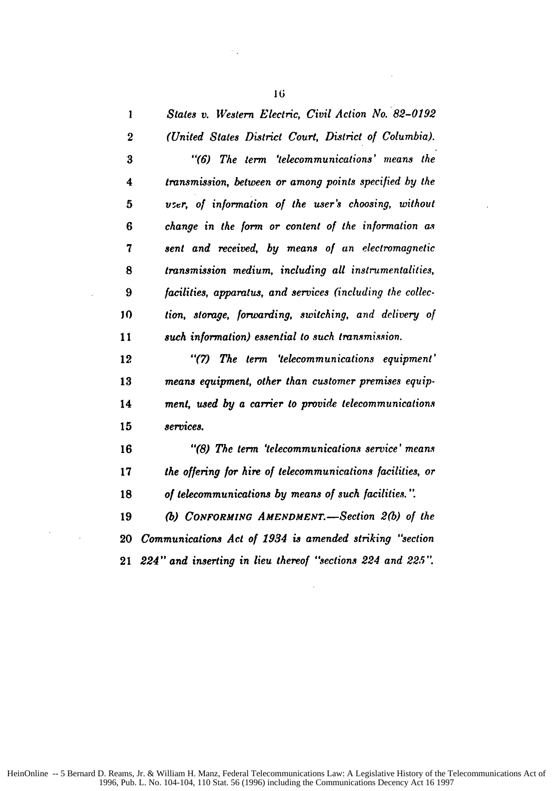| 1                | States v. Western Electric, Civil Action No. 82-0192       |
|------------------|------------------------------------------------------------|
| $\boldsymbol{2}$ | (United States District Court, District of Columbia).      |
| $\bf{3}$         | "(6) The term 'telecommunications' means the               |
| 4                | transmission, between or among points specified by the     |
| 5                | vser, of information of the user's choosing, without       |
| 6                | change in the form or content of the information as        |
| 7                | sent and received, by means of an electromagnetic          |
| 8                | transmission medium, including all instrumentalities,      |
| 9                | facilities, apparatus, and services (including the collec- |
| 10               | tion, storage, forwarding, switching, and delivery of      |
| 11               | such information) essential to such transmission.          |
| 12               | "(7) The term 'telecommunications equipment'               |
| 13               | means equipment, other than customer premises equip-       |
| 14               | ment, used by a carrier to provide telecommunications      |
| 15               | services.                                                  |
| 16               | "(8) The term 'telecommunications service' means           |
| 17               | the offering for hire of telecommunications facilities, or |
| 18               | of telecommunications by means of such facilities.".       |
| 19               | (b) CONFORMING AMENDMENT.—Section 2(b) of the              |
| 20               | Communications Act of 1934 is amended striking "section    |
| 21               | 224" and inserting in lieu thereof "sections 224 and 225". |

 $\sim$ 

 $\ddot{\phantom{a}}$ 

 $\mathbb{R}_+$ 

 $\sim$  .

 $\mathcal{A}^{\text{max}}_{\text{max}}$ 

 $\sim$   $\sim$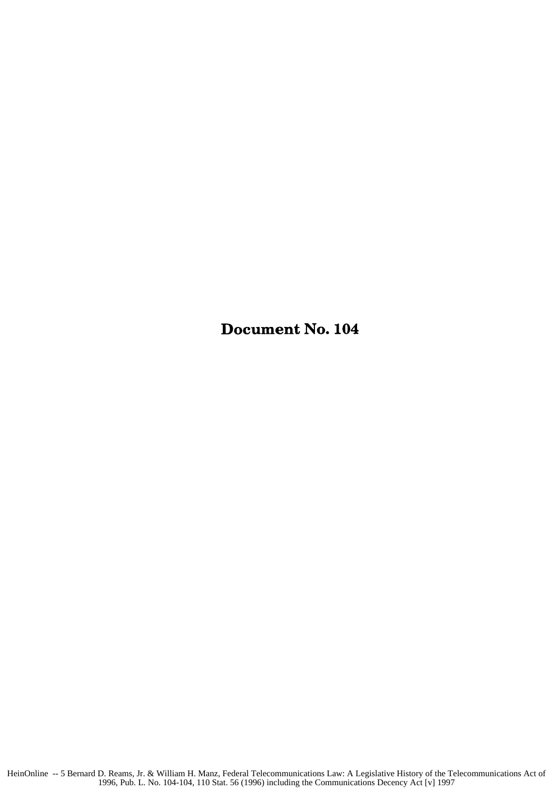Document No. 104